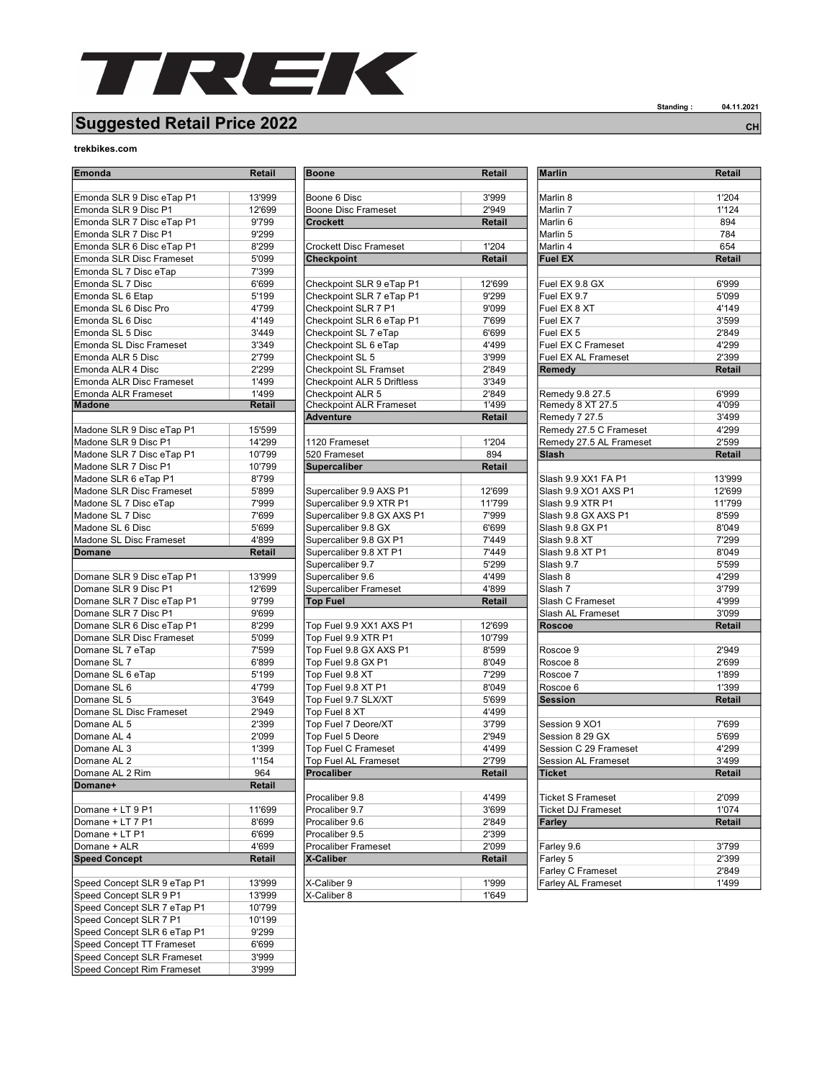

## Suggested Retail Price 2022 CH

## trekbikes.com

| <b>Emonda</b>                                    | Retail | <b>Boone</b>                                      | Retail |
|--------------------------------------------------|--------|---------------------------------------------------|--------|
|                                                  |        |                                                   |        |
| Emonda SLR 9 Disc eTap P1                        | 13'999 | Boone 6 Disc                                      | 3'999  |
| Emonda SLR 9 Disc P1                             | 12'699 | <b>Boone Disc Frameset</b>                        | 2'949  |
| Emonda SLR 7 Disc eTap P1                        | 9'799  | <b>Crockett</b>                                   | Retail |
| Emonda SLR 7 Disc P1                             | 9'299  |                                                   |        |
| Emonda SLR 6 Disc eTap P1                        | 8'299  | Crockett Disc Frameset                            | 1'204  |
| Emonda SLR Disc Frameset                         | 5'099  | <b>Checkpoint</b>                                 | Retail |
| Emonda SL 7 Disc eTap                            | 7'399  |                                                   |        |
| Emonda SL 7 Disc                                 | 6'699  | Checkpoint SLR 9 eTap P1                          | 12'699 |
| Emonda SL 6 Etap                                 | 5'199  | Checkpoint SLR 7 eTap P1                          | 9'299  |
| Emonda SL 6 Disc Pro                             | 4'799  | Checkpoint SLR 7 P1                               | 9'099  |
| Emonda SL 6 Disc                                 | 4'149  | Checkpoint SLR 6 eTap P1                          | 7'699  |
| Emonda SL 5 Disc                                 | 3'449  | Checkpoint SL 7 eTap                              | 6'699  |
| Emonda SL Disc Frameset                          | 3'349  | Checkpoint SL 6 eTap                              | 4'499  |
| Emonda ALR 5 Disc                                | 2'799  | Checkpoint SL 5                                   | 3'999  |
| Emonda ALR 4 Disc                                | 2'299  | <b>Checkpoint SL Framset</b>                      | 2'849  |
| <b>Emonda ALR Disc Frameset</b>                  | 1'499  | <b>Checkpoint ALR 5 Driftless</b>                 | 3'349  |
| Emonda ALR Frameset                              | 1'499  | Checkpoint ALR 5                                  | 2'849  |
| <b>Madone</b>                                    | Retail | <b>Checkpoint ALR Frameset</b>                    | 1'499  |
|                                                  |        | <b>Adventure</b>                                  | Retail |
| Madone SLR 9 Disc eTap P1                        | 15'599 |                                                   |        |
| Madone SLR 9 Disc P1                             | 14'299 | 1120 Frameset                                     | 1'204  |
| Madone SLR 7 Disc eTap P1                        | 10'799 | 520 Frameset                                      | 894    |
| Madone SLR 7 Disc P1                             | 10'799 | <b>Supercaliber</b>                               | Retail |
|                                                  |        |                                                   |        |
| Madone SLR 6 eTap P1<br>Madone SLR Disc Frameset | 8'799  |                                                   |        |
|                                                  | 5'899  | Supercaliber 9.9 AXS P1                           | 12'699 |
| Madone SL 7 Disc eTap                            | 7'999  | Supercaliber 9.9 XTR P1                           | 11'799 |
| Madone SL 7 Disc                                 | 7'699  | Supercaliber 9.8 GX AXS P1<br>Supercaliber 9.8 GX | 7'999  |
| Madone SL 6 Disc<br>Madone SL Disc Frameset      | 5'699  |                                                   | 6'699  |
|                                                  | 4'899  | Supercaliber 9.8 GX P1                            | 7'449  |
| Domane                                           | Retail | Supercaliber 9.8 XT P1                            | 7'449  |
|                                                  |        | Supercaliber 9.7                                  | 5'299  |
| Domane SLR 9 Disc eTap P1                        | 13'999 | Supercaliber 9.6                                  | 4'499  |
| Domane SLR 9 Disc P1                             | 12'699 | <b>Supercaliber Frameset</b>                      | 4'899  |
| Domane SLR 7 Disc eTap P1                        | 9'799  | <b>Top Fuel</b>                                   | Retail |
| Domane SLR 7 Disc P1                             | 9'699  |                                                   |        |
| Domane SLR 6 Disc eTap P1                        | 8'299  | Top Fuel 9.9 XX1 AXS P1                           | 12'699 |
| Domane SLR Disc Frameset                         | 5'099  | Top Fuel 9.9 XTR P1                               | 10'799 |
| Domane SL 7 eTap                                 | 7'599  | Top Fuel 9.8 GX AXS P1                            | 8'599  |
| Domane SL 7                                      | 6'899  | Top Fuel 9.8 GX P1                                | 8'049  |
| Domane SL 6 eTap                                 | 5'199  | Top Fuel 9.8 XT                                   | 7'299  |
| Domane SL 6                                      | 4'799  | Top Fuel 9.8 XT P1                                | 8'049  |
| Domane SL 5                                      | 3'649  | Top Fuel 9.7 SLX/XT                               | 5'699  |
| Domane SL Disc Frameset                          | 2'949  | Top Fuel 8 XT                                     | 4'499  |
| Domane AL 5                                      | 2'399  | Top Fuel 7 Deore/XT                               | 3'799  |
| Domane AL 4                                      | 2'099  | Top Fuel 5 Deore                                  | 2'949  |
| Domane AL 3                                      | 1'399  | <b>Top Fuel C Frameset</b>                        | 4'499  |
| Domane AL 2                                      | 1'154  | <b>Top Fuel AL Frameset</b>                       | 2'799  |
| Domane AL 2 Rim                                  | 964    | Procaliber                                        | Retail |
| Domane+                                          | Retail |                                                   |        |
|                                                  |        | Procaliber 9.8                                    | 4'499  |
| Domane + LT 9 P1                                 | 11'699 | Procaliber 9.7                                    | 3'699  |
| Domane + LT 7 P1                                 | 8'699  | Procaliber 9.6                                    | 2'849  |
| Domane + LT P1                                   | 6'699  | Procaliber 9.5                                    | 2'399  |
| Domane + ALR                                     | 4'699  | <b>Procaliber Frameset</b>                        | 2'099  |
| <b>Speed Concept</b>                             | Retail | <b>X-Caliber</b>                                  | Retail |
|                                                  |        |                                                   |        |
| Speed Concept SLR 9 eTap P1                      | 13'999 | X-Caliber 9                                       | 1'999  |
| Speed Concept SLR 9 P1                           | 13'999 | X-Caliber 8                                       | 1'649  |
| Speed Concept SLR 7 eTap P1                      | 10'799 |                                                   |        |
| Speed Concept SLR 7 P1                           | 10'199 |                                                   |        |
| Speed Concept SLR 6 eTap P1                      | 9'299  |                                                   |        |
| Speed Concept TT Frameset                        | 6'699  |                                                   |        |
| Speed Concept SLR Frameset                       | 3'999  |                                                   |        |
| Speed Concept Rim Frameset                       | 3'999  |                                                   |        |

| Emonda                                                | Retail         | <b>Boone</b>                   | <b>Retail</b> | <b>Marlin</b>              | Retail |
|-------------------------------------------------------|----------------|--------------------------------|---------------|----------------------------|--------|
|                                                       |                |                                |               |                            |        |
| Emonda SLR 9 Disc eTap P1                             | 13'999         | Boone 6 Disc                   | 3'999         | Marlin 8                   | 1'204  |
| Emonda SLR 9 Disc P1                                  | 12'699         | Boone Disc Frameset            | 2'949         | Marlin 7                   | 1'124  |
| Emonda SLR 7 Disc eTap P1                             | 9'799          | <b>Crockett</b>                | Retail        | Marlin 6                   | 894    |
| Emonda SLR 7 Disc P1<br>Emonda SLR 6 Disc eTap P1     | 9'299          |                                |               | Marlin 5                   | 784    |
|                                                       | 8'299<br>5'099 | Crockett Disc Frameset         | 1'204         | Marlin 4<br><b>Fuel EX</b> | 654    |
| Emonda SLR Disc Frameset                              | 7'399          | <b>Checkpoint</b>              | <b>Retail</b> |                            | Retail |
| Emonda SL 7 Disc eTap<br>Emonda SL 7 Disc             | 6'699          | Checkpoint SLR 9 eTap P1       | 12'699        | Fuel EX 9.8 GX             | 6'999  |
| Emonda SL 6 Etap                                      | 5'199          | Checkpoint SLR 7 eTap P1       | 9'299         | Fuel EX 9.7                | 5'099  |
| Emonda SL 6 Disc Pro                                  | 4'799          | Checkpoint SLR 7 P1            | 9'099         | Fuel EX 8 XT               | 4'149  |
| Emonda SL 6 Disc                                      | 4'149          | Checkpoint SLR 6 eTap P1       | 7'699         | Fuel EX <sub>7</sub>       | 3'599  |
| Emonda SL 5 Disc                                      | 3'449          | Checkpoint SL 7 eTap           | 6'699         | Fuel EX <sub>5</sub>       | 2'849  |
| Emonda SL Disc Frameset                               | 3'349          | Checkpoint SL 6 eTap           | 4'499         | Fuel EX C Frameset         | 4'299  |
| Emonda ALR 5 Disc                                     | 2'799          | Checkpoint SL 5                | 3'999         | Fuel EX AL Frameset        | 2'399  |
| Emonda ALR 4 Disc                                     | 2'299          | <b>Checkpoint SL Framset</b>   | 2'849         | Remedy                     | Retail |
| Emonda ALR Disc Frameset                              | 1'499          | Checkpoint ALR 5 Driftless     | 3'349         |                            |        |
| Emonda ALR Frameset                                   | 1'499          | Checkpoint ALR 5               | 2'849         | Remedy 9.8 27.5            | 6'999  |
| Madone                                                | Retail         | <b>Checkpoint ALR Frameset</b> | 1'499         | Remedy 8 XT 27.5           | 4'099  |
|                                                       |                | <b>Adventure</b>               | <b>Retail</b> | Remedy 7 27.5              | 3'499  |
| Madone SLR 9 Disc eTap P1                             | 15'599         |                                |               | Remedy 27.5 C Frameset     | 4'299  |
| Madone SLR 9 Disc P1                                  | 14'299         | 1120 Frameset                  | 1'204         | Remedy 27.5 AL Frameset    | 2'599  |
| Madone SLR 7 Disc eTap P1                             | 10'799         | 520 Frameset                   | 894           | Slash                      | Retail |
| Madone SLR 7 Disc P1                                  | 10'799         | <b>Supercaliber</b>            | Retail        |                            |        |
| Madone SLR 6 eTap P1                                  | 8'799          |                                |               | Slash 9.9 XX1 FA P1        | 13'999 |
| Madone SLR Disc Frameset                              | 5'899          | Supercaliber 9.9 AXS P1        | 12'699        | Slash 9.9 XO1 AXS P1       | 12'699 |
| Madone SL 7 Disc eTap                                 | 7'999          | Supercaliber 9.9 XTR P1        | 11'799        | Slash 9.9 XTR P1           | 11'799 |
| Madone SL 7 Disc                                      | 7'699          | Supercaliber 9.8 GX AXS P1     | 7'999         | Slash 9.8 GX AXS P1        | 8'599  |
| Madone SL 6 Disc                                      | 5'699          | Supercaliber 9.8 GX            | 6'699         | Slash 9.8 GX P1            | 8'049  |
| Madone SL Disc Frameset                               | 4'899          | Supercaliber 9.8 GX P1         | 7'449         | Slash 9.8 XT               | 7'299  |
| <b>Domane</b>                                         | Retail         | Supercaliber 9.8 XT P1         | 7'449         | Slash 9.8 XT P1            | 8'049  |
|                                                       |                | Supercaliber 9.7               | 5'299         | Slash 9.7                  | 5'599  |
| Domane SLR 9 Disc eTap P1                             | 13'999         | Supercaliber 9.6               | 4'499         | Slash 8                    | 4'299  |
| Domane SLR 9 Disc P1                                  | 12'699         | <b>Supercaliber Frameset</b>   | 4'899         | Slash 7                    | 3'799  |
| Domane SLR 7 Disc eTap P1                             | 9'799          | <b>Top Fuel</b>                | Retail        | Slash C Frameset           | 4'999  |
| Domane SLR 7 Disc P1                                  | 9'699          |                                |               | Slash AL Frameset          | 3'099  |
| Domane SLR 6 Disc eTap P1                             | 8'299          | Top Fuel 9.9 XX1 AXS P1        | 12'699        | <b>Roscoe</b>              | Retail |
| Domane SLR Disc Frameset                              | 5'099          | Top Fuel 9.9 XTR P1            | 10'799        |                            |        |
| Domane SL 7 eTap                                      | 7'599          | Top Fuel 9.8 GX AXS P1         | 8'599         | Roscoe 9                   | 2'949  |
| Domane SL 7                                           | 6'899          | Top Fuel 9.8 GX P1             | 8'049         | Roscoe 8                   | 2'699  |
| Domane SL 6 eTap                                      | 5'199          | Top Fuel 9.8 XT                | 7'299         | Roscoe 7                   | 1'899  |
| Domane SL 6                                           | 4'799          | Top Fuel 9.8 XT P1             | 8'049         | Roscoe 6                   | 1'399  |
| Domane SL 5                                           | 3'649          | Top Fuel 9.7 SLX/XT            | 5'699         | <b>Session</b>             | Retail |
| Domane SL Disc Frameset                               | 2'949          | Top Fuel 8 XT                  | 4'499         |                            |        |
| Domane AL 5                                           | 2'399          | Top Fuel 7 Deore/XT            | 3'799         | Session 9 XO1              | 7'699  |
| Domane AL 4                                           | 2'099          | Top Fuel 5 Deore               | 2'949         | Session 8 29 GX            | 5'699  |
| Domane AL 3                                           | 1'399          | <b>Top Fuel C Frameset</b>     | 4'499         | Session C 29 Frameset      | 4'299  |
| Domane AL 2                                           | 1'154          | <b>Top Fuel AL Frameset</b>    | 2'799         | <b>Session AL Frameset</b> | 3'499  |
| Domane AL 2 Rim                                       | 964            | Procaliber                     | Retail        | <b>Ticket</b>              | Retail |
| Domane+                                               | Retail         |                                |               |                            |        |
|                                                       |                | Procaliber 9.8                 | 4'499         | <b>Ticket S Frameset</b>   | 2'099  |
| Domane + LT 9 P1                                      | 11'699         | Procaliber 9.7                 | 3'699         | <b>Ticket DJ Frameset</b>  | 1'074  |
| Domane + LT 7 P1                                      | 8'699          | Procaliber 9.6                 | 2'849         | <b>Farley</b>              | Retail |
| Domane + LT P1                                        | 6'699          | Procaliber 9.5                 | 2'399         |                            |        |
| Domane + ALR                                          | 4'699          | <b>Procaliber Frameset</b>     | 2'099         | Farley 9.6                 | 3'799  |
| <b>Speed Concept</b>                                  | Retail         | X-Caliber                      | Retail        | Farley 5                   | 2'399  |
|                                                       |                |                                |               | Farley C Frameset          | 2'849  |
| Speed Concept SLR 9 eTap P1<br>Chood Concept CLD 0.D1 | 13'999         | X-Caliber 9<br>V Coliber 0     | 1'999         | Farley AL Frameset         | 1'499  |
|                                                       | 12000          |                                | 11010         |                            |        |

| <b>Marlin</b>              | Retail         |
|----------------------------|----------------|
| Marlin 8                   | 1'204          |
| Marlin 7                   | 1'124          |
| Marlin 6                   | 894            |
| Marlin 5                   | 784            |
| Marlin 4                   | 654            |
| <b>Fuel EX</b>             | Retail         |
|                            |                |
| Fuel EX 9.8 GX             | 6'999          |
| Fuel EX 9.7                | 5'099          |
| Fuel EX 8 XT               | 4'149          |
| Fuel EX <sub>7</sub>       | 3'599          |
| Fuel EX <sub>5</sub>       | 2'849          |
| Fuel EX C Frameset         | 4'299          |
| <b>Fuel EX AL Frameset</b> | 2'399          |
| Remedy                     | Retail         |
| Remedy 9.8 27.5            | 6'999          |
| Remedy 8 XT 27.5           | 4'099          |
| Remedy 7 27.5              | 3'499          |
| Remedy 27.5 C Frameset     | 4'299          |
| Remedy 27.5 AL Frameset    | 2'599          |
| Slash                      | <b>Retail</b>  |
|                            |                |
| Slash 9.9 XX1 FA P1        | 13'999         |
| Slash 9.9 XO1 AXS P1       | 12'699         |
| Slash 9.9 XTR P1           | 11'799         |
| Slash 9.8 GX AXS P1        | 8'599          |
| Slash 9.8 GX P1            | 8'049          |
| Slash 9.8 XT               | 7'299          |
| Slash 9.8 XT P1            | 8'049          |
| Slash 9.7                  | 5'599          |
| Slash 8                    | 4'299          |
| Slash 7                    | 3'799          |
| Slash C Frameset           | 4'999          |
| Slash AL Frameset          | 3'099          |
| <b>Roscoe</b>              | Retail         |
|                            |                |
| Roscoe 9<br>Roscoe 8       | 2'949          |
| Roscoe 7                   | 2'699<br>1'899 |
| Roscoe 6                   | 1'399          |
| <b>Session</b>             | Retail         |
|                            |                |
| Session 9 XO1              | 7'699          |
| Session 8 29 GX            | 5'699          |
| Session C 29 Frameset      | 4'299          |
| Session AL Frameset        | 3'499          |
| <b>Ticket</b>              | Retail         |
|                            |                |
| Ticket S Frameset          | 2'099          |
| Ticket DJ Frameset         | 1'074          |
| Farley                     | Retail         |
|                            |                |
| Farley 9.6                 | 3'799          |
| Farley 5                   | 2'399          |
| Farley C Frameset          | 2'849          |
| Farley AL Frameset         | 1'499          |

Standing : 04.11.2021